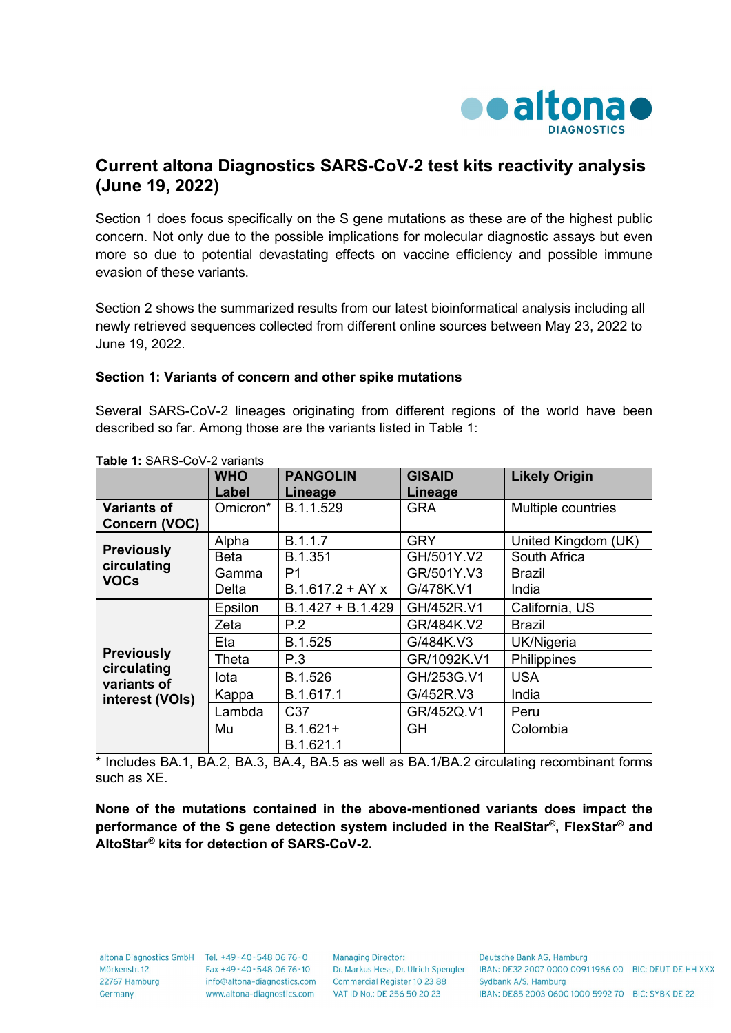

## **Current altona Diagnostics SARS-CoV-2 test kits reactivity analysis (June 19, 2022)**

Section 1 does focus specifically on the S gene mutations as these are of the highest public concern. Not only due to the possible implications for molecular diagnostic assays but even more so due to potential devastating effects on vaccine efficiency and possible immune evasion of these variants.

Section 2 shows the summarized results from our latest bioinformatical analysis including all newly retrieved sequences collected from different online sources between May 23, 2022 to June 19, 2022.

## **Section 1: Variants of concern and other spike mutations**

Several SARS-CoV-2 lineages originating from different regions of the world have been described so far. Among those are the variants listed in Table 1:

| $1000$ $11000000000$                                               | <b>WHO</b> | <b>PANGOLIN</b>     | <b>GISAID</b> | <b>Likely Origin</b> |
|--------------------------------------------------------------------|------------|---------------------|---------------|----------------------|
|                                                                    | Label      | Lineage             | Lineage       |                      |
| <b>Variants of</b>                                                 | Omicron*   | B.1.1.529           | <b>GRA</b>    | Multiple countries   |
| Concern (VOC)                                                      |            |                     |               |                      |
|                                                                    | Alpha      | B.1.1.7             | <b>GRY</b>    | United Kingdom (UK)  |
| <b>Previously</b><br>circulating<br><b>VOCs</b>                    | Beta       | B.1.351             | GH/501Y.V2    | South Africa         |
|                                                                    | Gamma      | P <sub>1</sub>      | GR/501Y.V3    | Brazil               |
|                                                                    | Delta      | $B.1.617.2 + AYx$   | G/478K.V1     | India                |
|                                                                    | Epsilon    | $B.1.427 + B.1.429$ | GH/452R.V1    | California, US       |
|                                                                    | Zeta       | P.2                 | GR/484K.V2    | Brazil               |
|                                                                    | Eta        | B.1.525             | G/484K.V3     | UK/Nigeria           |
| <b>Previously</b><br>circulating<br>variants of<br>interest (VOIs) | Theta      | P.3                 | GR/1092K.V1   | Philippines          |
|                                                                    | lota       | B.1.526             | GH/253G.V1    | <b>USA</b>           |
|                                                                    | Kappa      | B.1.617.1           | G/452R.V3     | India                |
|                                                                    | Lambda     | C <sub>37</sub>     | GR/452Q.V1    | Peru                 |
|                                                                    | Mu         | $B.1.621+$          | <b>GH</b>     | Colombia             |
|                                                                    |            | B.1.621.1           |               |                      |

**Table 1:** SARS-CoV-2 variants

\* Includes BA.1, BA.2, BA.3, BA.4, BA.5 as well as BA.1/BA.2 circulating recombinant forms such as XE.

**None of the mutations contained in the above-mentioned variants does impact the performance of the S gene detection system included in the RealStar®, FlexStar® and AltoStar® kits for detection of SARS-CoV-2.**

22767 Hamburg Germany

altona Diagnostics GmbH Tel. +49-40-548 06 76-0 Mörkenstr. 12 Fax +49 - 40 - 548 06 76 - 10 www.altona-diagnostics.com

**Managing Director:** info@altona-diagnostics.com Commercial Register 10 23 88 VAT ID No.: DE 256 50 20 23